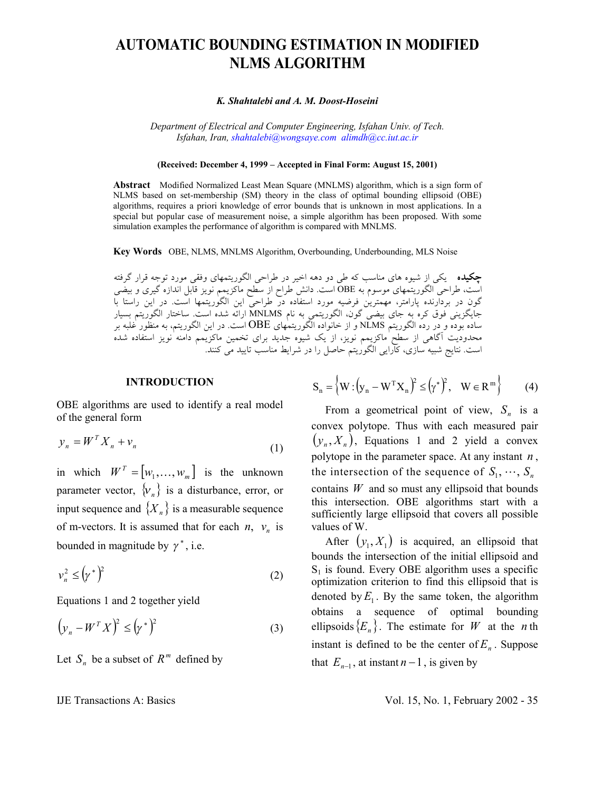# **AUTOMATIC BOUNDING ESTIMATION IN MODIFIED NLMS ALGORITHM**

#### *K. Shahtalebi and A. M. Doost-Hoseini*

*Department of Electrical and Computer Engineering, Isfahan Univ. of Tech. Isfahan, Iran, shahtalebi@wongsaye.com alimdh@cc.iut.ac.ir*

#### **(Received: December 4, 1999 – Accepted in Final Form: August 15, 2001)**

**Abstract** Modified Normalized Least Mean Square (MNLMS) algorithm, which is a sign form of NLMS based on set-membership (SM) theory in the class of optimal bounding ellipsoid (OBE) algorithms, requires a priori knowledge of error bounds that is unknown in most applications. In a special but popular case of measurement noise, a simple algorithm has been proposed. With some simulation examples the performance of algorithm is compared with MNLMS.

**Key Words** OBE, NLMS, MNLMS Algorithm, Overbounding, Underbounding, MLS Noise

**چكيده** يكي از شيوه هاي مناسب كه طي دو دهه اخير در طراحي الگوريتمهاي وفقي مورد توجه قرار گرفته است، طراحي الگوريتمهاي موسوم به OBE است. دانش طراح از سطح ماكزيمم نويز قابل اندازه گيري و بيضي گون در بردارنده پارامتر، مهمترين فرضيه مورد استفاده در طراحي اين الگوريتمها است. در اين راستا با جايگزيني فوق كره به جاي بيضي گون، الگوريتمي به نام MNLMS ارائه شده است. ساختار الگوريتم بسيار ساده بوده و در رده الگوريتم NLMS و از خانواده الگوريتمهاي OBE است. در اين الگوريتم، به منظور غلبه بر محدوديت آگاهي از سطح ماكزيمم نويز، از يك شيوه جديد براي تخمين ماكزيمم دامنه نويز استفاده شده است. نتايج شبيه سازي، كارايي الگوريتم حاصل را در شرايط مناسب تاييد مي كنند.

#### **INTRODUCTION**

OBE algorithms are used to identify a real model of the general form

$$
y_n = W^T X_n + v_n \tag{1}
$$

in which  $W^T = [w_1, \dots, w_m]$  is the unknown parameter vector,  $\{v_n\}$  is a disturbance, error, or input sequence and  ${X_n}$  is a measurable sequence of m-vectors. It is assumed that for each  $n$ ,  $v_n$  is bounded in magnitude by  $\gamma^*$ , i.e.

$$
\nu_n^2 \le \left(\gamma^*\right)^2\tag{2}
$$

Equations 1 and 2 together yield

$$
\left(y_n - W^T X\right)^2 \le \left(\gamma^*\right)^2\tag{3}
$$

Let  $S_n$  be a subset of  $R^m$  defined by

$$
\mathbf{S}_n = \left\{ \mathbf{W} : \left( \mathbf{y}_n - \mathbf{W}^{\mathrm{T}} \mathbf{X}_n \right)^2 \le \left( \gamma^* \right)^2, \quad \mathbf{W} \in \mathbf{R}^m \right\} \tag{4}
$$

From a geometrical point of view,  $S_n$  is a convex polytope. Thus with each measured pair  $(y_n, X_n)$ , Equations 1 and 2 yield a convex polytope in the parameter space. At any instant *n* , the intersection of the sequence of  $S_1, \dots, S_n$ contains  $W$  and so must any ellipsoid that bounds this intersection. OBE algorithms start with a sufficiently large ellipsoid that covers all possible values of W.

After  $(y_1, X_1)$  is acquired, an ellipsoid that bounds the intersection of the initial ellipsoid and  $S_1$  is found. Every OBE algorithm uses a specific optimization criterion to find this ellipsoid that is denoted by  $E_1$ . By the same token, the algorithm obtains a sequence of optimal bounding ellipsoids  ${E_n}$ . The estimate for *W* at the *n* th instant is defined to be the center of  $E_n$ . Suppose that  $E_{n-1}$ , at instant  $n-1$ , is given by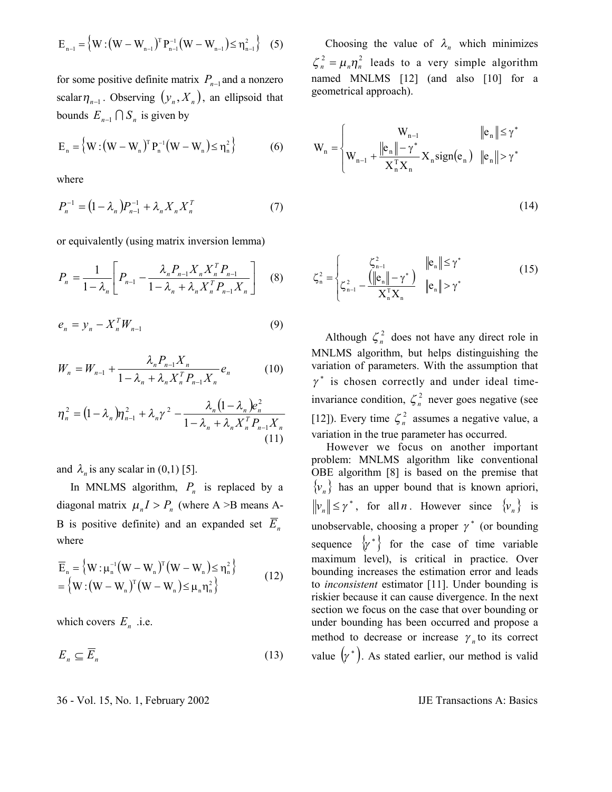$$
E_{n-1} = \left\{ W : (W - W_{n-1})^T P_{n-1}^{-1} (W - W_{n-1}) \le \eta_{n-1}^2 \right\} (5)
$$

for some positive definite matrix  $P_{n-1}$  and a nonzero scalar $\eta_{n-1}$ . Observing  $(y_n, X_n)$ , an ellipsoid that bounds  $E_{n-1} \cap S_n$  is given by

$$
E_n = \left\{ W : (W - W_n)^T P_n^{-1} (W - W_n) \le \eta_n^2 \right\}
$$
 (6)

where

$$
P_n^{-1} = (1 - \lambda_n) P_{n-1}^{-1} + \lambda_n X_n X_n^T
$$
 (7)

or equivalently (using matrix inversion lemma)

$$
P_n = \frac{1}{1 - \lambda_n} \left[ P_{n-1} - \frac{\lambda_n P_{n-1} X_n X_n^T P_{n-1}}{1 - \lambda_n + \lambda_n X_n^T P_{n-1} X_n} \right] \quad (8)
$$

$$
e_n = y_n - X_n^T W_{n-1} \tag{9}
$$

$$
W_n = W_{n-1} + \frac{\lambda_n P_{n-1} X_n}{1 - \lambda_n + \lambda_n X_n^T P_{n-1} X_n} e_n
$$
 (10)

$$
\eta_n^2 = (1 - \lambda_n) \eta_{n-1}^2 + \lambda_n \gamma^2 - \frac{\lambda_n (1 - \lambda_n) e_n^2}{1 - \lambda_n + \lambda_n X_n^T P_{n-1} X_n}
$$
\n(11)

and  $\lambda_n$  is any scalar in (0,1) [5].

In MNLMS algorithm,  $P_n$  is replaced by a diagonal matrix  $\mu_n I > P_n$  (where A >B means A-B is positive definite) and an expanded set  $\overline{E}_n$ where

$$
\overline{E}_n = \{ W : \mu_n^{-1} (W - W_n)^T (W - W_n) \le \eta_n^2 \} \n= \{ W : (W - W_n)^T (W - W_n) \le \mu_n \eta_n^2 \}
$$
\n(12)

which covers  $E_n$  .i.e.

$$
E_n \subseteq \overline{E}_n \tag{13}
$$

Choosing the value of  $\lambda_n$  which minimizes  $\zeta_n^2 = \mu_n \eta_n^2$  leads to a very simple algorithm named MNLMS [12] (and also [10] for a geometrical approach).

$$
W_{n} = \begin{cases} W_{n-1} & \|e_{n}\| \leq \gamma^{*} \\ W_{n-1} + \frac{\|e_{n}\| - \gamma^{*}}{X_{n}^{T}X_{n}} X_{n} \text{sign}(e_{n}) & \|e_{n}\| > \gamma^{*} \end{cases}
$$

$$
(14)
$$

$$
\zeta_{n}^{2} = \begin{cases}\n\zeta_{n-1}^{2} & \|\mathbf{e}_{n}\| \leq \gamma^{*} \\
\zeta_{n-1}^{2} - \frac{(\|\mathbf{e}_{n}\| - \gamma^{*})}{\mathbf{X}_{n}^{\mathrm{T}}\mathbf{X}_{n}} & \|\mathbf{e}_{n}\| > \gamma^{*}\n\end{cases}
$$
\n(15)

Although  $\zeta_n^2$  does not have any direct role in MNLMS algorithm, but helps distinguishing the variation of parameters. With the assumption that  $\gamma^*$  is chosen correctly and under ideal timeinvariance condition,  $\zeta_n^2$  never goes negative (see [12]). Every time  $\zeta_n^2$  assumes a negative value, a variation in the true parameter has occurred.

 However we focus on another important problem: MNLMS algorithm like conventional OBE algorithm [8] is based on the premise that  ${v_n}$  has an upper bound that is known apriori,  $||v_n|| \le \gamma^*$ , for all *n*. However since  $\{v_n\}$  is unobservable, choosing a proper  $\gamma^*$  (or bounding sequence  $\{y^*\}$  for the case of time variable maximum level), is critical in practice. Over bounding increases the estimation error and leads to *inconsistent* estimator [11]. Under bounding is riskier because it can cause divergence. In the next section we focus on the case that over bounding or under bounding has been occurred and propose a method to decrease or increase  $\gamma_n$  to its correct value  $(y^*)$ . As stated earlier, our method is valid

36 - Vol. 15, No. 1, February 2002 IJE Transactions A: Basics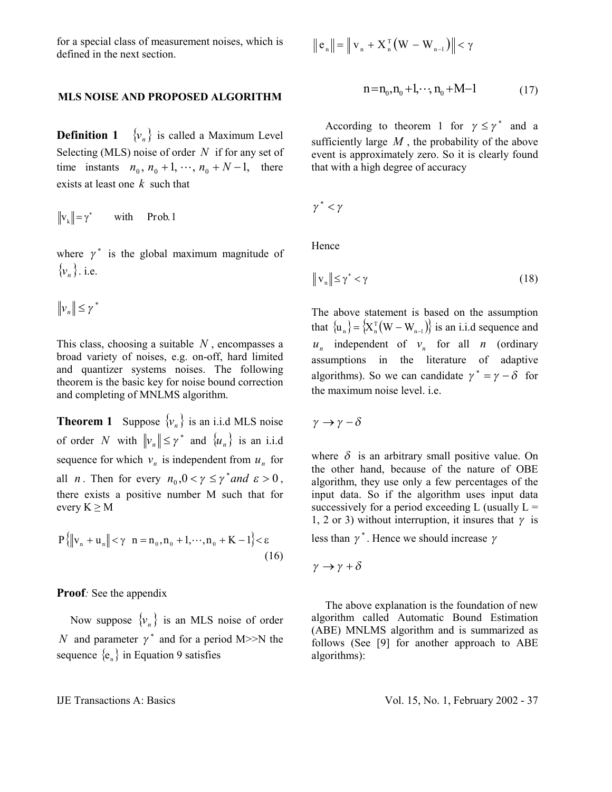for a special class of measurement noises, which is defined in the next section.

## **MLS NOISE AND PROPOSED ALGORITHM**

**Definition 1**  $\{v_n\}$  is called a Maximum Level Selecting (MLS) noise of order *N* if for any set of time instants  $n_0$ ,  $n_0 + 1$ ,  $\cdots$ ,  $n_0 + N - 1$ , there exists at least one *k* such that

$$
\|\mathbf{v}_{k}\| = \gamma^* \qquad \text{with} \qquad \text{Prob. 1}
$$

where  $\gamma^*$  is the global maximum magnitude of  $\{v_n\}$ . i.e.

$$
\|\mathbf{v}_n\| \leq \gamma^*
$$

This class, choosing a suitable *N* , encompasses a broad variety of noises, e.g. on-off, hard limited and quantizer systems noises. The following theorem is the basic key for noise bound correction and completing of MNLMS algorithm.

**Theorem 1** Suppose  $\{v_n\}$  is an i.i.d MLS noise of order *N* with  $||v_n|| \le \gamma^*$  and  $\{u_n\}$  is an i.i.d sequence for which  $v_n$  is independent from  $u_n$  for all *n*. Then for every  $n_0$ ,  $0 < \gamma \le \gamma^*$  *and*  $\varepsilon > 0$ , there exists a positive number M such that for every  $K \geq M$ 

$$
P\{|v_n + u_n\| < \gamma \ n = n_0, n_0 + 1, \cdots, n_0 + K - 1\} < \varepsilon
$$
\n(16)

**Proof***:* See the appendix

Now suppose  $\{v_n\}$  is an MLS noise of order *N* and parameter  $\gamma^*$  and for a period M>>N the sequence  ${e_n}$  in Equation 9 satisfies

$$
\left\|\,e_{_{n}}\right\|=\left\|\,v_{_{n}}+X_{_{n}}^{\,\mathrm{T}}\big(W-W_{_{n-1}}\big)\right\|<\gamma
$$

$$
n = n_0, n_0 + 1, \dots, n_0 + M - 1 \tag{17}
$$

According to theorem 1 for  $\gamma \leq \gamma^*$  and a sufficiently large  $M$ , the probability of the above event is approximately zero. So it is clearly found that with a high degree of accuracy

$$
\gamma^*<\gamma
$$

Hence

$$
\|\mathbf{v}_{n}\| \leq \gamma^* < \gamma \tag{18}
$$

The above statement is based on the assumption that  $\{u_n\} = \{X_n^T(W - W_{n-1})\}$  is an i.i.d sequence and  $u_n$  independent of  $v_n$  for all *n* (ordinary assumptions in the literature of adaptive algorithms). So we can candidate  $\gamma^* = \gamma - \delta$  for the maximum noise level. i.e.

 $\gamma \rightarrow \gamma - \delta$ 

where  $\delta$  is an arbitrary small positive value. On the other hand, because of the nature of OBE algorithm, they use only a few percentages of the input data. So if the algorithm uses input data successively for a period exceeding L (usually  $L =$ 1, 2 or 3) without interruption, it insures that  $\gamma$  is

less than  $\gamma^*$ . Hence we should increase  $\gamma$ 

 $\gamma \rightarrow \gamma + \delta$ 

 The above explanation is the foundation of new algorithm called Automatic Bound Estimation (ABE) MNLMS algorithm and is summarized as follows (See [9] for another approach to ABE algorithms):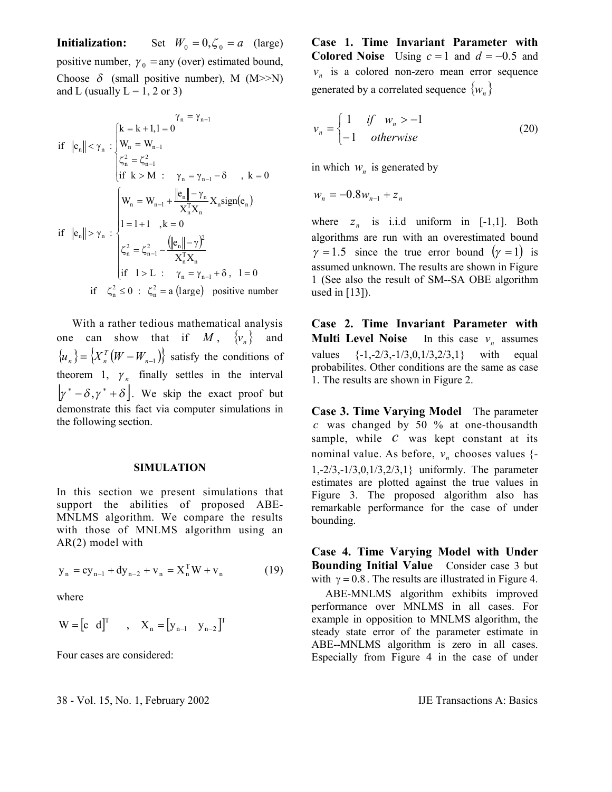**Initialization:** Set  $W_0 = 0, \zeta_0 = a$  (large) positive number,  $\gamma_0$  = any (over) estimated bound, Choose  $\delta$  (small positive number), M (M>>N) and L (usually  $L = 1, 2$  or 3)

$$
\gamma_{n} = \gamma_{n-1}
$$
\n
$$
\text{if } \|\mathbf{e}_{n}\| < \gamma_{n} : \begin{cases} k = k + 1, l = 0 \\ W_{n} = W_{n-1} \\ \zeta_{n}^{2} = \zeta_{n-1}^{2} \\ \text{if } k > M : \quad \gamma_{n} = \gamma_{n-1} - \delta \quad , \ k = 0 \end{cases}
$$
\n
$$
\text{if } \|\mathbf{e}_{n}\| > \gamma_{n} : \begin{cases} W_{n} = W_{n-1} + \frac{\|\mathbf{e}_{n}\| - \gamma_{n}}{X_{n}^{T}X_{n}} X_{n} \text{sign}(\mathbf{e}_{n}) \\ 1 = 1 + 1 \quad , k = 0 \\ \zeta_{n}^{2} = \zeta_{n-1}^{2} - \frac{\left(\|\mathbf{e}_{n}\| - \gamma\right)^{2}}{X_{n}^{T}X_{n}} \\ \text{if } l > L : \quad \gamma_{n} = \gamma_{n-1} + \delta \quad , \ l = 0 \end{cases}
$$
\n
$$
\text{if } \zeta_{n}^{2} \leq 0 : \zeta_{n}^{2} = a \text{ (large) positive number}
$$

 With a rather tedious mathematical analysis one can show that if  $M$ ,  $\{v_n\}$  and  ${u_n} = {X_n^T(W - W_{n-1})}$  satisfy the conditions of theorem 1,  $\gamma_n$  finally settles in the interval  $[\gamma^* - \delta, \gamma^* + \delta]$ . We skip the exact proof but demonstrate this fact via computer simulations in the following section.

## **SIMULATION**

In this section we present simulations that support the abilities of proposed ABE-MNLMS algorithm. We compare the results with those of MNLMS algorithm using an AR(2) model with

$$
y_n = cy_{n-1} + dy_{n-2} + v_n = X_n^{\mathrm{T}}W + v_n \tag{19}
$$

where

$$
W = \begin{bmatrix} c & d \end{bmatrix}^T \qquad , \quad X_n = \begin{bmatrix} y_{n-1} & y_{n-2} \end{bmatrix}^T
$$

Four cases are considered:

**Case 1. Time Invariant Parameter with Colored Noise** Using  $c = 1$  and  $d = -0.5$  and  $v_n$  is a colored non-zero mean error sequence generated by a correlated sequence  $\{w_n\}$ 

$$
v_n = \begin{cases} 1 & \text{if } w_n > -1 \\ -1 & \text{otherwise} \end{cases}
$$
 (20)

in which  $w_n$  is generated by

 $W_n = -0.8W_{n-1} + Z_n$ 

where  $z_n$  is i.i.d uniform in  $[-1,1]$ . Both algorithms are run with an overestimated bound  $\gamma = 1.5$  since the true error bound  $(\gamma = 1)$  is assumed unknown. The results are shown in Figure 1 (See also the result of SM--SA OBE algorithm used in [13]).

**Case 2. Time Invariant Parameter with Multi Level Noise** In this case  $v_n$  assumes values {-1,-2/3,-1/3,0,1/3,2/3,1} with equal probabilites. Other conditions are the same as case 1. The results are shown in Figure 2.

**Case 3. Time Varying Model** The parameter *c* was changed by 50 % at one-thousandth sample, while *c* was kept constant at its nominal value. As before,  $v_n$  chooses values  $\{-\}$ 1,-2/3,-1/3,0,1/3,2/3,1} uniformly. The parameter estimates are plotted against the true values in Figure 3. The proposed algorithm also has remarkable performance for the case of under bounding.

**Case 4. Time Varying Model with Under Bounding Initial Value** Consider case 3 but with  $\gamma = 0.8$ . The results are illustrated in Figure 4.

 ABE-MNLMS algorithm exhibits improved performance over MNLMS in all cases. For example in opposition to MNLMS algorithm, the steady state error of the parameter estimate in ABE--MNLMS algorithm is zero in all cases. Especially from Figure 4 in the case of under

38 - Vol. 15, No. 1, February 2002 IJE Transactions A: Basics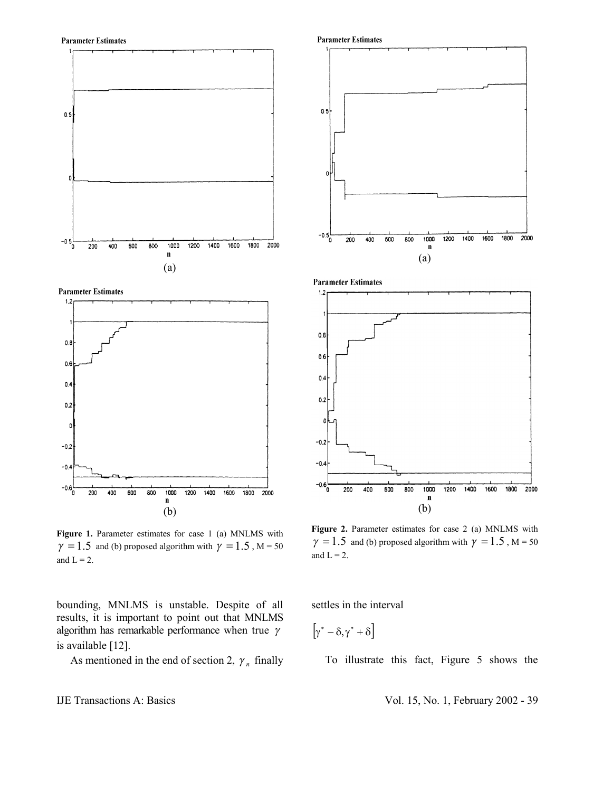**Parameter Estimates** 







Figure 1. Parameter estimates for case 1 (a) MNLMS with  $\gamma = 1.5$  and (b) proposed algorithm with  $\gamma = 1.5$ , M = 50 and  $L = 2$ .

bounding, MNLMS is unstable. Despite of all results, it is important to point out that MNLMS algorithm has remarkable performance when true  $\gamma$ is available [12].

As mentioned in the end of section 2,  $\gamma_n$  finally



(a)





**Figure 2.** Parameter estimates for case 2 (a) MNLMS with  $\gamma = 1.5$  and (b) proposed algorithm with  $\gamma = 1.5$ , M = 50 and  $L = 2$ .

settles in the interval

$$
\left[\!\gamma^*-\delta,\gamma^*+\delta\right]
$$

To illustrate this fact, Figure 5 shows the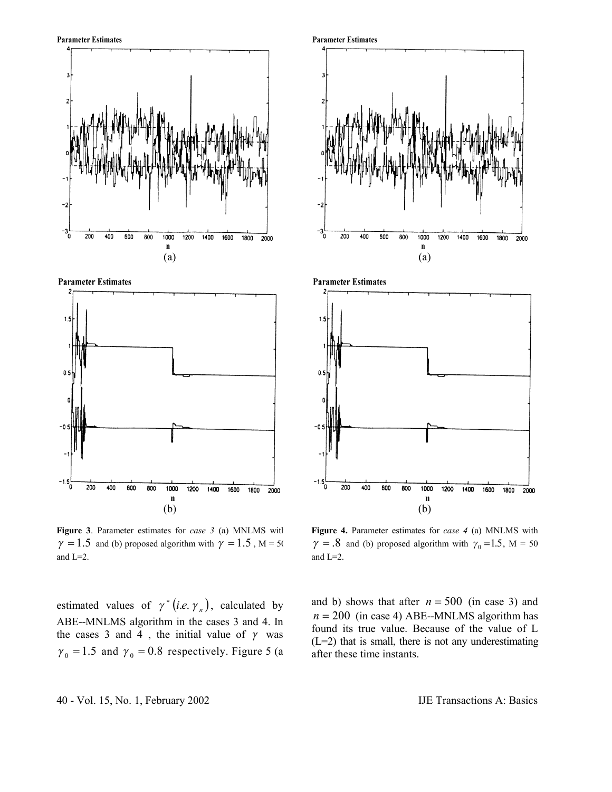





**Figure 3**. Parameter estimates for *case 3* (a) MNLMS with  $\gamma = 1.5$  and (b) proposed algorithm with  $\gamma = 1.5$ , M = 50 and L=2.

estimated values of  $\gamma^* (i.e. \gamma_n)$ , calculated by ABE--MNLMS algorithm in the cases 3 and 4. In the cases 3 and 4, the initial value of  $\gamma$  was  $\gamma_0 = 1.5$  and  $\gamma_0 = 0.8$  respectively. Figure 5 (a





**Figure 4.** Parameter estimates for *case 4* (a) MNLMS with  $\gamma = .8$  and (b) proposed algorithm with  $\gamma_0 = 1.5$ , M = 50 and L=2.

and b) shows that after  $n = 500$  (in case 3) and  $n = 200$  (in case 4) ABE--MNLMS algorithm has found its true value. Because of the value of L  $(L=2)$  that is small, there is not any underestimating after these time instants.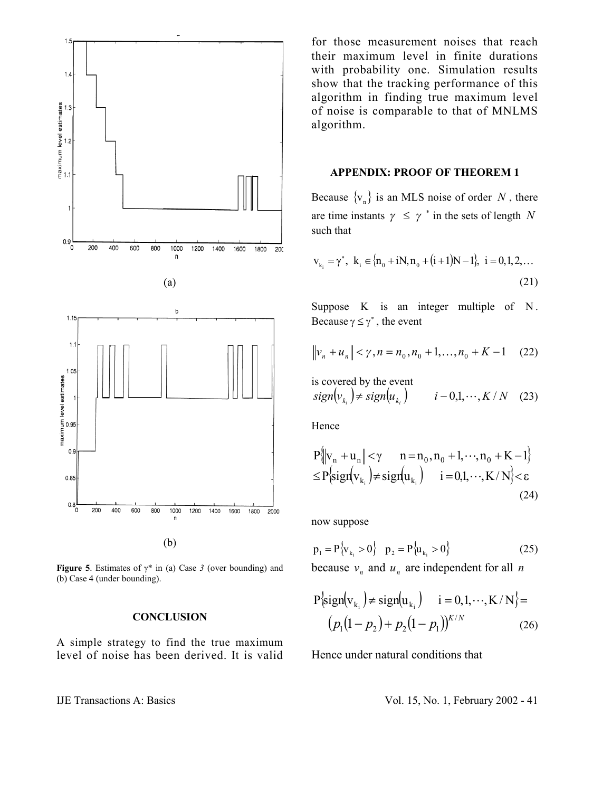

**Figure 5**. Estimates of  $\gamma^*$  in (a) Case 3 (over bounding) and (b) Case 4 (under bounding).

## **CONCLUSION**

A simple strategy to find the true maximum level of noise has been derived. It is valid for those measurement noises that reach their maximum level in finite durations with probability one. Simulation results show that the tracking performance of this algorithm in finding true maximum level of noise is comparable to that of MNLMS algorithm.

## **APPENDIX: PROOF OF THEOREM 1**

Because  $\{v_n\}$  is an MLS noise of order N, there are time instants  $\gamma \leq \gamma^*$  in the sets of length N such that

$$
v_{k_i} = \gamma^*, \ k_i \in \{n_0 + iN, n_0 + (i+1)N - 1\}, \ i = 0, 1, 2, \dots
$$
\n(21)

Suppose K is an integer multiple of N. Because  $\gamma \leq \gamma^*$ , the event

$$
\|v_n + u_n\| < \gamma, n = n_0, n_0 + 1, \dots, n_0 + K - 1 \quad (22)
$$

is covered by the event  
\n
$$
sign(v_{k_i}) \neq sign(u_{k_i})
$$
  $i - 0, 1, \dots, K/N$  (23)

Hence

$$
P\|v_n + u_n\| < \gamma \qquad n = n_0, n_0 + 1, \dots, n_0 + K - 1\}
$$
  
\n
$$
\leq P\left\{sign(v_{k_i}) \neq sign(u_{k_i}) \qquad i = 0, 1, \dots, K/N\right\} < \varepsilon
$$
  
\n(24)

now suppose

$$
p_1 = P\{v_{k_i} > 0\} \quad p_2 = P\{u_{k_i} > 0\}
$$
 (25)

because  $v_n$  and  $u_n$  are independent for all *n* 

$$
P\{\text{sign}(v_{k_i}) \neq \text{sign}(u_{k_i}) \quad i = 0, 1, \cdots, K/N\} =
$$
  

$$
(p_1(1-p_2) + p_2(1-p_1))^{K/N}
$$
 (26)

Hence under natural conditions that